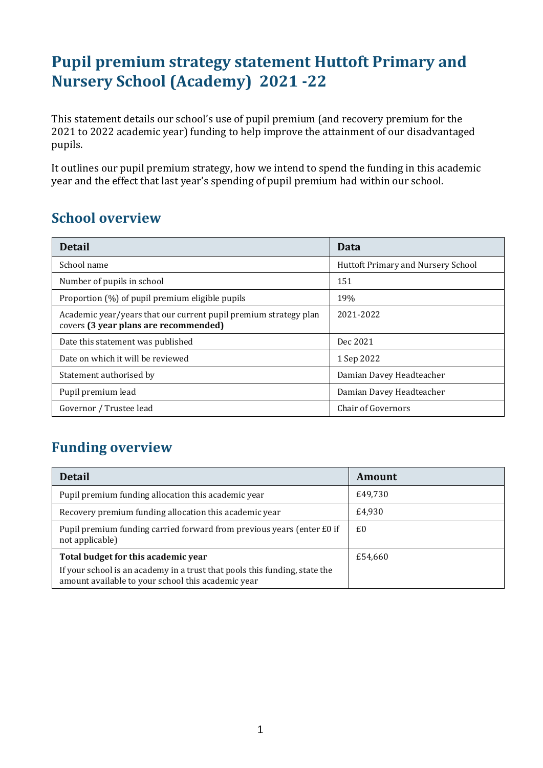# **Pupil premium strategy statement Huttoft Primary and Nursery School (Academy) 2021 -22**

This statement details our school's use of pupil premium (and recovery premium for the 2021 to 2022 academic year) funding to help improve the attainment of our disadvantaged pupils.

It outlines our pupil premium strategy, how we intend to spend the funding in this academic year and the effect that last year's spending of pupil premium had within our school.

### **School overview**

| <b>Detail</b>                                                                                             | Data                               |
|-----------------------------------------------------------------------------------------------------------|------------------------------------|
| School name                                                                                               | Huttoft Primary and Nursery School |
| Number of pupils in school                                                                                | 151                                |
| Proportion (%) of pupil premium eligible pupils                                                           | 19%                                |
| Academic year/years that our current pupil premium strategy plan<br>covers (3 year plans are recommended) | 2021-2022                          |
| Date this statement was published                                                                         | Dec 2021                           |
| Date on which it will be reviewed                                                                         | 1 Sep 2022                         |
| Statement authorised by                                                                                   | Damian Davey Headteacher           |
| Pupil premium lead                                                                                        | Damian Davey Headteacher           |
| Governor / Trustee lead                                                                                   | <b>Chair of Governors</b>          |

# **Funding overview**

| <b>Detail</b>                                                                                                                    | Amount  |
|----------------------------------------------------------------------------------------------------------------------------------|---------|
| Pupil premium funding allocation this academic year                                                                              | £49,730 |
| Recovery premium funding allocation this academic year                                                                           | £4,930  |
| Pupil premium funding carried forward from previous years (enter £0 if<br>not applicable)                                        | £0      |
| Total budget for this academic year                                                                                              | £54,660 |
| If your school is an academy in a trust that pools this funding, state the<br>amount available to your school this academic year |         |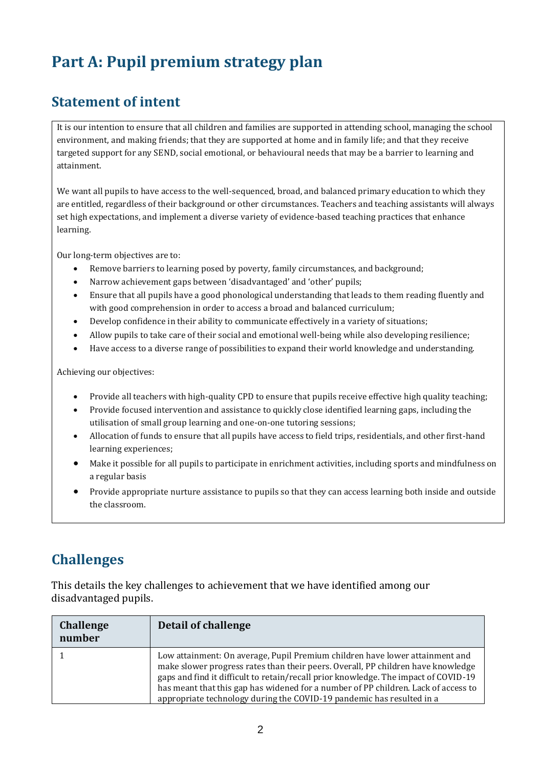# **Part A: Pupil premium strategy plan**

# **Statement of intent**

It is our intention to ensure that all children and families are supported in attending school, managing the school environment, and making friends; that they are supported at home and in family life; and that they receive targeted support for any SEND, social emotional, or behavioural needs that may be a barrier to learning and attainment.

We want all pupils to have access to the well-sequenced, broad, and balanced primary education to which they are entitled, regardless of their background or other circumstances. Teachers and teaching assistants will always set high expectations, and implement a diverse variety of evidence-based teaching practices that enhance learning.

Our long-term objectives are to:

- Remove barriers to learning posed by poverty, family circumstances, and background;
- Narrow achievement gaps between 'disadvantaged' and 'other' pupils;
- Ensure that all pupils have a good phonological understanding that leads to them reading fluently and with good comprehension in order to access a broad and balanced curriculum;
- Develop confidence in their ability to communicate effectively in a variety of situations;
- Allow pupils to take care of their social and emotional well-being while also developing resilience;
- Have access to a diverse range of possibilities to expand their world knowledge and understanding.

Achieving our objectives:

- Provide all teachers with high-quality CPD to ensure that pupils receive effective high quality teaching;
- Provide focused intervention and assistance to quickly close identified learning gaps, including the utilisation of small group learning and one-on-one tutoring sessions;
- Allocation of funds to ensure that all pupils have access to field trips, residentials, and other first-hand learning experiences;
- Make it possible for all pupils to participate in enrichment activities, including sports and mindfulness on a regular basis
- Provide appropriate nurture assistance to pupils so that they can access learning both inside and outside the classroom.

# **Challenges**

This details the key challenges to achievement that we have identified among our disadvantaged pupils.

| <b>Challenge</b><br>number | Detail of challenge                                                                                                                                                                                                                                                                                                                                                                                                    |
|----------------------------|------------------------------------------------------------------------------------------------------------------------------------------------------------------------------------------------------------------------------------------------------------------------------------------------------------------------------------------------------------------------------------------------------------------------|
|                            | Low attainment: On average, Pupil Premium children have lower attainment and<br>make slower progress rates than their peers. Overall, PP children have knowledge<br>gaps and find it difficult to retain/recall prior knowledge. The impact of COVID-19<br>has meant that this gap has widened for a number of PP children. Lack of access to<br>appropriate technology during the COVID-19 pandemic has resulted in a |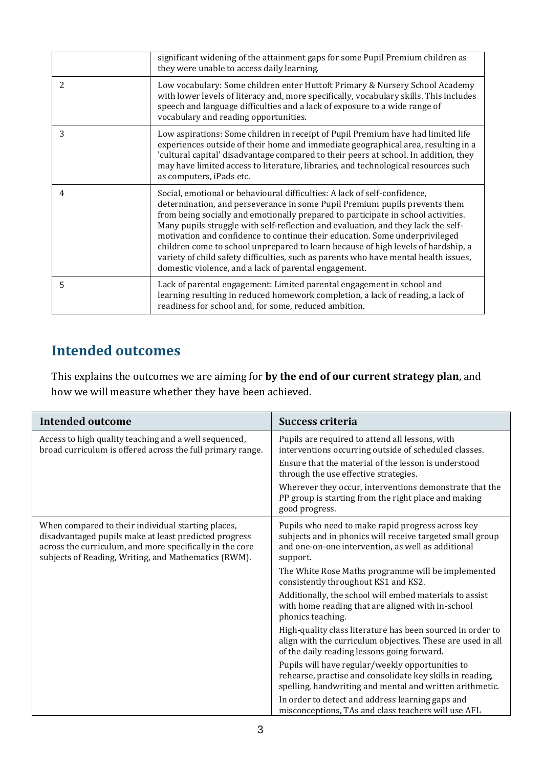|   | significant widening of the attainment gaps for some Pupil Premium children as<br>they were unable to access daily learning.                                                                                                                                                                                                                                                                                                                                                                                                                                                                                                                           |
|---|--------------------------------------------------------------------------------------------------------------------------------------------------------------------------------------------------------------------------------------------------------------------------------------------------------------------------------------------------------------------------------------------------------------------------------------------------------------------------------------------------------------------------------------------------------------------------------------------------------------------------------------------------------|
| 2 | Low vocabulary: Some children enter Huttoft Primary & Nursery School Academy<br>with lower levels of literacy and, more specifically, vocabulary skills. This includes<br>speech and language difficulties and a lack of exposure to a wide range of<br>vocabulary and reading opportunities.                                                                                                                                                                                                                                                                                                                                                          |
| 3 | Low aspirations: Some children in receipt of Pupil Premium have had limited life<br>experiences outside of their home and immediate geographical area, resulting in a<br>'cultural capital' disadvantage compared to their peers at school. In addition, they<br>may have limited access to literature, libraries, and technological resources such<br>as computers, iPads etc.                                                                                                                                                                                                                                                                        |
| 4 | Social, emotional or behavioural difficulties: A lack of self-confidence,<br>determination, and perseverance in some Pupil Premium pupils prevents them<br>from being socially and emotionally prepared to participate in school activities.<br>Many pupils struggle with self-reflection and evaluation, and they lack the self-<br>motivation and confidence to continue their education. Some underprivileged<br>children come to school unprepared to learn because of high levels of hardship, a<br>variety of child safety difficulties, such as parents who have mental health issues,<br>domestic violence, and a lack of parental engagement. |
| 5 | Lack of parental engagement: Limited parental engagement in school and<br>learning resulting in reduced homework completion, a lack of reading, a lack of<br>readiness for school and, for some, reduced ambition.                                                                                                                                                                                                                                                                                                                                                                                                                                     |

### **Intended outcomes**

This explains the outcomes we are aiming for **by the end of our current strategy plan**, and how we will measure whether they have been achieved.

| <b>Intended outcome</b>                                                                                                                                                                                                         | <b>Success criteria</b>                                                                                                                                                                                                                                                                                                                        |
|---------------------------------------------------------------------------------------------------------------------------------------------------------------------------------------------------------------------------------|------------------------------------------------------------------------------------------------------------------------------------------------------------------------------------------------------------------------------------------------------------------------------------------------------------------------------------------------|
| Access to high quality teaching and a well sequenced,<br>broad curriculum is offered across the full primary range.                                                                                                             | Pupils are required to attend all lessons, with<br>interventions occurring outside of scheduled classes.<br>Ensure that the material of the lesson is understood<br>through the use effective strategies.<br>Wherever they occur, interventions demonstrate that the<br>PP group is starting from the right place and making<br>good progress. |
| When compared to their individual starting places,<br>disadvantaged pupils make at least predicted progress<br>across the curriculum, and more specifically in the core<br>subjects of Reading, Writing, and Mathematics (RWM). | Pupils who need to make rapid progress across key<br>subjects and in phonics will receive targeted small group<br>and one-on-one intervention, as well as additional<br>support.                                                                                                                                                               |
|                                                                                                                                                                                                                                 | The White Rose Maths programme will be implemented<br>consistently throughout KS1 and KS2.                                                                                                                                                                                                                                                     |
|                                                                                                                                                                                                                                 | Additionally, the school will embed materials to assist<br>with home reading that are aligned with in-school<br>phonics teaching.                                                                                                                                                                                                              |
|                                                                                                                                                                                                                                 | High-quality class literature has been sourced in order to<br>align with the curriculum objectives. These are used in all<br>of the daily reading lessons going forward.                                                                                                                                                                       |
|                                                                                                                                                                                                                                 | Pupils will have regular/weekly opportunities to<br>rehearse, practise and consolidate key skills in reading,<br>spelling, handwriting and mental and written arithmetic.                                                                                                                                                                      |
|                                                                                                                                                                                                                                 | In order to detect and address learning gaps and<br>misconceptions, TAs and class teachers will use AFL                                                                                                                                                                                                                                        |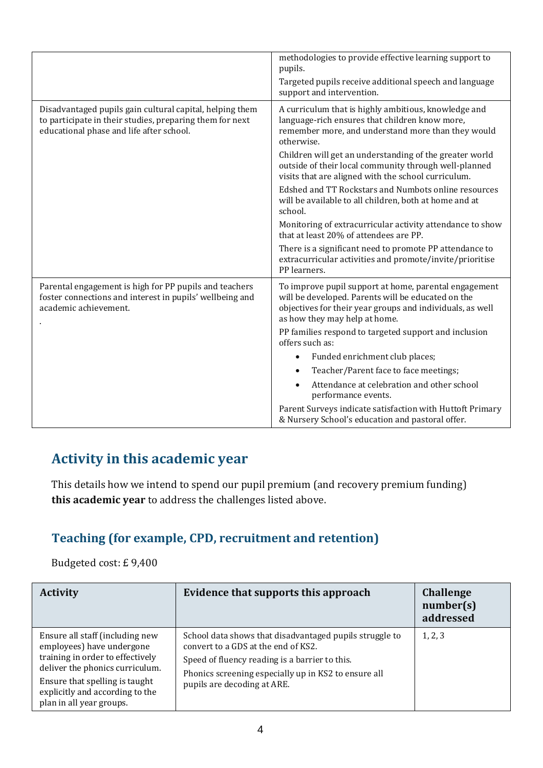|                                                                                                                                                                  | methodologies to provide effective learning support to<br>pupils.                                                                                                                                         |
|------------------------------------------------------------------------------------------------------------------------------------------------------------------|-----------------------------------------------------------------------------------------------------------------------------------------------------------------------------------------------------------|
|                                                                                                                                                                  | Targeted pupils receive additional speech and language<br>support and intervention.                                                                                                                       |
| Disadvantaged pupils gain cultural capital, helping them<br>to participate in their studies, preparing them for next<br>educational phase and life after school. | A curriculum that is highly ambitious, knowledge and<br>language-rich ensures that children know more,<br>remember more, and understand more than they would<br>otherwise.                                |
|                                                                                                                                                                  | Children will get an understanding of the greater world<br>outside of their local community through well-planned<br>visits that are aligned with the school curriculum.                                   |
|                                                                                                                                                                  | Edshed and TT Rockstars and Numbots online resources<br>will be available to all children, both at home and at<br>school.                                                                                 |
|                                                                                                                                                                  | Monitoring of extracurricular activity attendance to show<br>that at least 20% of attendees are PP.                                                                                                       |
|                                                                                                                                                                  | There is a significant need to promote PP attendance to<br>extracurricular activities and promote/invite/prioritise<br>PP learners.                                                                       |
| Parental engagement is high for PP pupils and teachers<br>foster connections and interest in pupils' wellbeing and<br>academic achievement.                      | To improve pupil support at home, parental engagement<br>will be developed. Parents will be educated on the<br>objectives for their year groups and individuals, as well<br>as how they may help at home. |
|                                                                                                                                                                  | PP families respond to targeted support and inclusion<br>offers such as:                                                                                                                                  |
|                                                                                                                                                                  | Funded enrichment club places;                                                                                                                                                                            |
|                                                                                                                                                                  | Teacher/Parent face to face meetings;                                                                                                                                                                     |
|                                                                                                                                                                  | Attendance at celebration and other school<br>performance events.                                                                                                                                         |
|                                                                                                                                                                  | Parent Surveys indicate satisfaction with Huttoft Primary<br>& Nursery School's education and pastoral offer.                                                                                             |

# **Activity in this academic year**

This details how we intend to spend our pupil premium (and recovery premium funding) **this academic year** to address the challenges listed above.

#### **Teaching (for example, CPD, recruitment and retention)**

Budgeted cost: £ 9,400

| <b>Activity</b>                                                                                                                     | Evidence that supports this approach                                                                                                                                                                     | <b>Challenge</b><br>number(s)<br>addressed |
|-------------------------------------------------------------------------------------------------------------------------------------|----------------------------------------------------------------------------------------------------------------------------------------------------------------------------------------------------------|--------------------------------------------|
| Ensure all staff (including new<br>employees) have undergone<br>training in order to effectively<br>deliver the phonics curriculum. | School data shows that disadvantaged pupils struggle to<br>convert to a GDS at the end of KS2.<br>Speed of fluency reading is a barrier to this.<br>Phonics screening especially up in KS2 to ensure all | 1, 2, 3                                    |
| Ensure that spelling is taught<br>explicitly and according to the<br>plan in all year groups.                                       | pupils are decoding at ARE.                                                                                                                                                                              |                                            |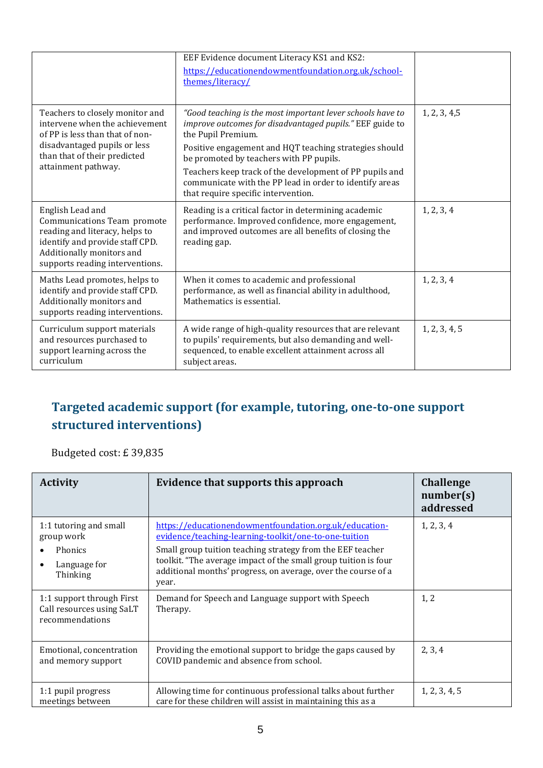|                                                                                                                                                                                             | EEF Evidence document Literacy KS1 and KS2:<br>https://educationendowmentfoundation.org.uk/school-<br>themes/literacy/                                                                                                                                                                                                                                                                                         |               |
|---------------------------------------------------------------------------------------------------------------------------------------------------------------------------------------------|----------------------------------------------------------------------------------------------------------------------------------------------------------------------------------------------------------------------------------------------------------------------------------------------------------------------------------------------------------------------------------------------------------------|---------------|
| Teachers to closely monitor and<br>intervene when the achievement<br>of PP is less than that of non-<br>disadvantaged pupils or less<br>than that of their predicted<br>attainment pathway. | "Good teaching is the most important lever schools have to<br>improve outcomes for disadvantaged pupils." EEF guide to<br>the Pupil Premium.<br>Positive engagement and HQT teaching strategies should<br>be promoted by teachers with PP pupils.<br>Teachers keep track of the development of PP pupils and<br>communicate with the PP lead in order to identify areas<br>that require specific intervention. | 1, 2, 3, 4, 5 |
| English Lead and<br>Communications Team promote<br>reading and literacy, helps to<br>identify and provide staff CPD.<br>Additionally monitors and<br>supports reading interventions.        | Reading is a critical factor in determining academic<br>performance. Improved confidence, more engagement,<br>and improved outcomes are all benefits of closing the<br>reading gap.                                                                                                                                                                                                                            | 1, 2, 3, 4    |
| Maths Lead promotes, helps to<br>identify and provide staff CPD.<br>Additionally monitors and<br>supports reading interventions.                                                            | When it comes to academic and professional<br>performance, as well as financial ability in adulthood,<br>Mathematics is essential.                                                                                                                                                                                                                                                                             | 1, 2, 3, 4    |
| Curriculum support materials<br>and resources purchased to<br>support learning across the<br>curriculum                                                                                     | A wide range of high-quality resources that are relevant<br>to pupils' requirements, but also demanding and well-<br>sequenced, to enable excellent attainment across all<br>subject areas.                                                                                                                                                                                                                    | 1, 2, 3, 4, 5 |

# **Targeted academic support (for example, tutoring, one-to-one support structured interventions)**

Budgeted cost: £ 39,835

| <b>Activity</b>                                                                          | Evidence that supports this approach                                                                                                                                                                                                                                                                                       | <b>Challenge</b><br>number(s)<br>addressed |
|------------------------------------------------------------------------------------------|----------------------------------------------------------------------------------------------------------------------------------------------------------------------------------------------------------------------------------------------------------------------------------------------------------------------------|--------------------------------------------|
| 1:1 tutoring and small<br>group work<br>Phonics<br>Language for<br>$\bullet$<br>Thinking | https://educationendowmentfoundation.org.uk/education-<br>evidence/teaching-learning-toolkit/one-to-one-tuition<br>Small group tuition teaching strategy from the EEF teacher<br>toolkit. "The average impact of the small group tuition is four<br>additional months' progress, on average, over the course of a<br>year. | 1, 2, 3, 4                                 |
| 1:1 support through First<br>Call resources using SaLT<br>recommendations                | Demand for Speech and Language support with Speech<br>Therapy.                                                                                                                                                                                                                                                             | 1, 2                                       |
| Emotional, concentration<br>and memory support                                           | Providing the emotional support to bridge the gaps caused by<br>COVID pandemic and absence from school.                                                                                                                                                                                                                    | 2, 3, 4                                    |
| 1:1 pupil progress<br>meetings between                                                   | Allowing time for continuous professional talks about further<br>care for these children will assist in maintaining this as a                                                                                                                                                                                              | 1, 2, 3, 4, 5                              |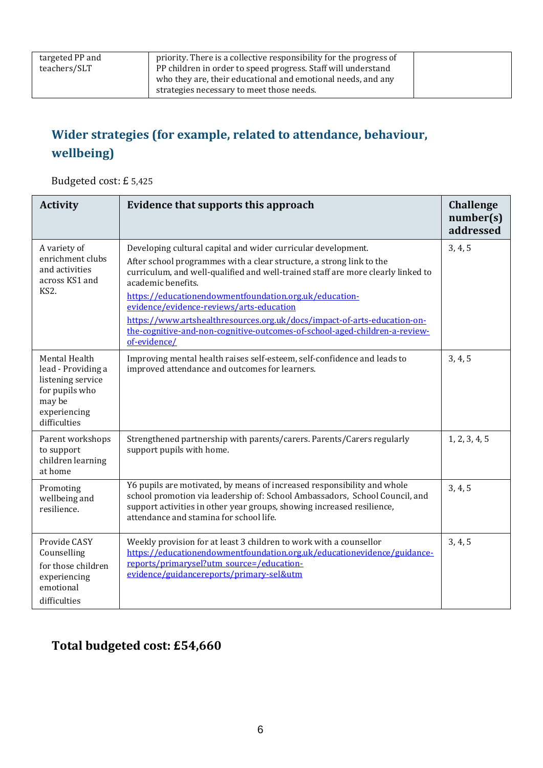# **Wider strategies (for example, related to attendance, behaviour, wellbeing)**

Budgeted cost: £ 5,425

| <b>Activity</b>                                                                                                      | Evidence that supports this approach                                                                                                                                                                                                                                                                                                                                                                                                                                                                                            | <b>Challenge</b><br>number(s)<br>addressed |
|----------------------------------------------------------------------------------------------------------------------|---------------------------------------------------------------------------------------------------------------------------------------------------------------------------------------------------------------------------------------------------------------------------------------------------------------------------------------------------------------------------------------------------------------------------------------------------------------------------------------------------------------------------------|--------------------------------------------|
| A variety of<br>enrichment clubs<br>and activities<br>across KS1 and<br>KS <sub>2</sub> .                            | Developing cultural capital and wider curricular development.<br>After school programmes with a clear structure, a strong link to the<br>curriculum, and well-qualified and well-trained staff are more clearly linked to<br>academic benefits.<br>https://educationendowmentfoundation.org.uk/education-<br>evidence/evidence-reviews/arts-education<br>https://www.artshealthresources.org.uk/docs/impact-of-arts-education-on-<br>the-cognitive-and-non-cognitive-outcomes-of-school-aged-children-a-review-<br>of-evidence/ | 3, 4, 5                                    |
| Mental Health<br>lead - Providing a<br>listening service<br>for pupils who<br>may be<br>experiencing<br>difficulties | Improving mental health raises self-esteem, self-confidence and leads to<br>improved attendance and outcomes for learners.                                                                                                                                                                                                                                                                                                                                                                                                      | 3, 4, 5                                    |
| Parent workshops<br>to support<br>children learning<br>at home                                                       | Strengthened partnership with parents/carers. Parents/Carers regularly<br>support pupils with home.                                                                                                                                                                                                                                                                                                                                                                                                                             | 1, 2, 3, 4, 5                              |
| Promoting<br>wellbeing and<br>resilience.                                                                            | Y6 pupils are motivated, by means of increased responsibility and whole<br>school promotion via leadership of: School Ambassadors, School Council, and<br>support activities in other year groups, showing increased resilience,<br>attendance and stamina for school life.                                                                                                                                                                                                                                                     | 3, 4, 5                                    |
| Provide CASY<br>Counselling<br>for those children<br>experiencing<br>emotional<br>difficulties                       | Weekly provision for at least 3 children to work with a counsellor<br>https://educationendowmentfoundation.org.uk/educationevidence/guidance-<br>reports/primarysel?utm_source=/education-<br>evidence/guidancereports/primary-sel&utm                                                                                                                                                                                                                                                                                          | 3, 4, 5                                    |

#### **Total budgeted cost: £54,660**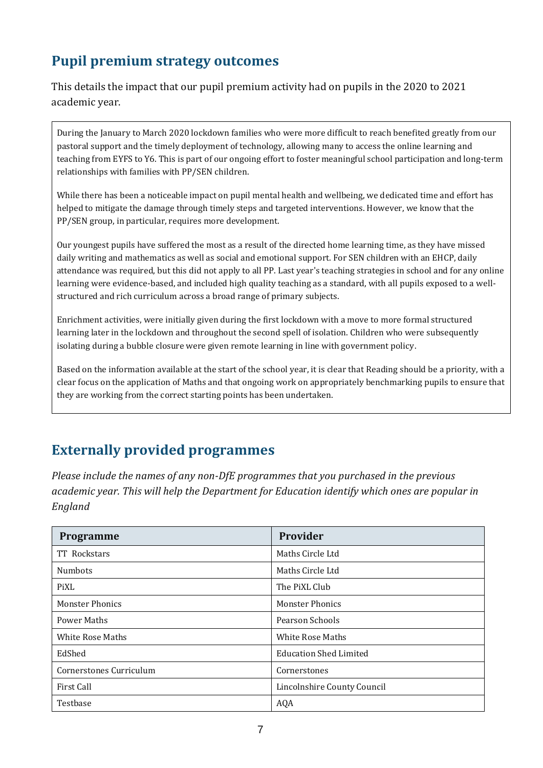# **Pupil premium strategy outcomes**

This details the impact that our pupil premium activity had on pupils in the 2020 to 2021 academic year.

During the January to March 2020 lockdown families who were more difficult to reach benefited greatly from our pastoral support and the timely deployment of technology, allowing many to access the online learning and teaching from EYFS to Y6. This is part of our ongoing effort to foster meaningful school participation and long-term relationships with families with PP/SEN children.

While there has been a noticeable impact on pupil mental health and wellbeing, we dedicated time and effort has helped to mitigate the damage through timely steps and targeted interventions. However, we know that the PP/SEN group, in particular, requires more development.

Our youngest pupils have suffered the most as a result of the directed home learning time, as they have missed daily writing and mathematics as well as social and emotional support. For SEN children with an EHCP, daily attendance was required, but this did not apply to all PP. Last year's teaching strategies in school and for any online learning were evidence-based, and included high quality teaching as a standard, with all pupils exposed to a wellstructured and rich curriculum across a broad range of primary subjects.

Enrichment activities, were initially given during the first lockdown with a move to more formal structured learning later in the lockdown and throughout the second spell of isolation. Children who were subsequently isolating during a bubble closure were given remote learning in line with government policy.

Based on the information available at the start of the school year, it is clear that Reading should be a priority, with a clear focus on the application of Maths and that ongoing work on appropriately benchmarking pupils to ensure that they are working from the correct starting points has been undertaken.

# **Externally provided programmes**

*Please include the names of any non-DfE programmes that you purchased in the previous academic year. This will help the Department for Education identify which ones are popular in England*

| <b>Programme</b>        | Provider                      |
|-------------------------|-------------------------------|
| TT Rockstars            | Maths Circle Ltd              |
| <b>Numbots</b>          | Maths Circle Ltd              |
| PiXL                    | The PiXL Club                 |
| <b>Monster Phonics</b>  | <b>Monster Phonics</b>        |
| Power Maths             | Pearson Schools               |
| <b>White Rose Maths</b> | <b>White Rose Maths</b>       |
| EdShed                  | <b>Education Shed Limited</b> |
| Cornerstones Curriculum | Cornerstones                  |
| First Call              | Lincolnshire County Council   |
| Testbase                | AQA                           |